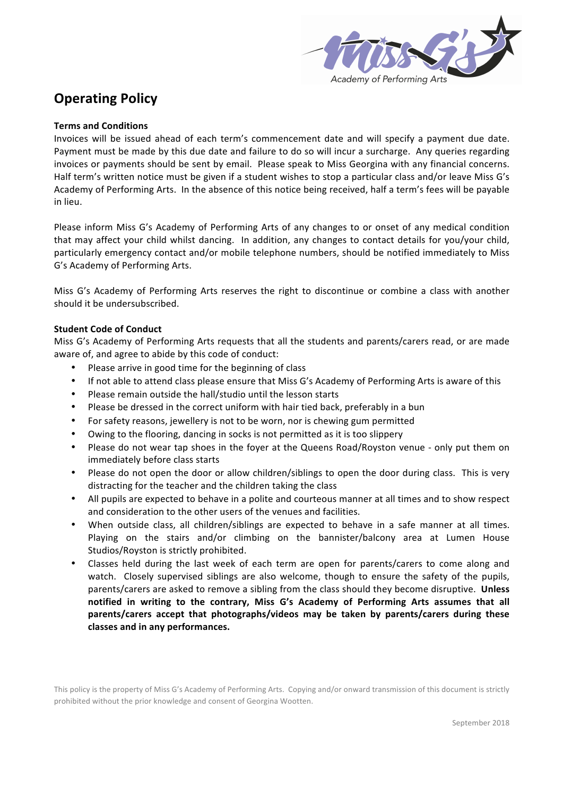

# **Operating Policy**

# **Terms and Conditions**

Invoices will be issued ahead of each term's commencement date and will specify a payment due date. Payment must be made by this due date and failure to do so will incur a surcharge. Any queries regarding invoices or payments should be sent by email. Please speak to Miss Georgina with any financial concerns. Half term's written notice must be given if a student wishes to stop a particular class and/or leave Miss G's Academy of Performing Arts. In the absence of this notice being received, half a term's fees will be payable in lieu.

Please inform Miss G's Academy of Performing Arts of any changes to or onset of any medical condition that may affect your child whilst dancing. In addition, any changes to contact details for you/your child, particularly emergency contact and/or mobile telephone numbers, should be notified immediately to Miss G's Academy of Performing Arts.

Miss G's Academy of Performing Arts reserves the right to discontinue or combine a class with another should it be undersubscribed.

## **Student Code of Conduct**

Miss G's Academy of Performing Arts requests that all the students and parents/carers read, or are made aware of, and agree to abide by this code of conduct:

- Please arrive in good time for the beginning of class
- If not able to attend class please ensure that Miss G's Academy of Performing Arts is aware of this
- Please remain outside the hall/studio until the lesson starts
- Please be dressed in the correct uniform with hair tied back, preferably in a bun
- For safety reasons, jewellery is not to be worn, nor is chewing gum permitted
- Owing to the flooring, dancing in socks is not permitted as it is too slippery
- Please do not wear tap shoes in the foyer at the Queens Road/Royston venue only put them on immediately before class starts
- Please do not open the door or allow children/siblings to open the door during class. This is very distracting for the teacher and the children taking the class
- All pupils are expected to behave in a polite and courteous manner at all times and to show respect and consideration to the other users of the venues and facilities.
- When outside class, all children/siblings are expected to behave in a safe manner at all times. Playing on the stairs and/or climbing on the bannister/balcony area at Lumen House Studios/Royston is strictly prohibited.
- Classes held during the last week of each term are open for parents/carers to come along and watch. Closely supervised siblings are also welcome, though to ensure the safety of the pupils, parents/carers are asked to remove a sibling from the class should they become disruptive. Unless **notified** in writing to the contrary, Miss G's Academy of Performing Arts assumes that all parents/carers accept that photographs/videos may be taken by parents/carers during these **classes and in any performances.**